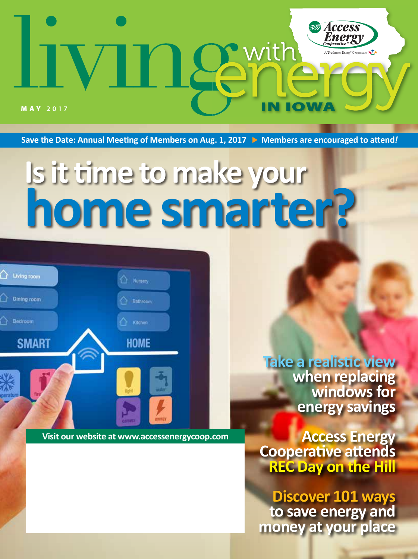

Save the Date: Annual Meeting of Members on Aug. 1, 2017 **•** Members are encouraged to attend!

# **Is it time to make your home smarter?**

 $\bigcirc$  Living room Dining room **Bathroom** Bedroom Kitchen **SMART HOME** 

**Visit our website at www.accessenergycoop.com**

**Take a realistic view when replacing windows for energy savings**

**Access Energy Cooperative attends REC Day on the Hill** 

**Discover 101 ways to save energy and money at your place**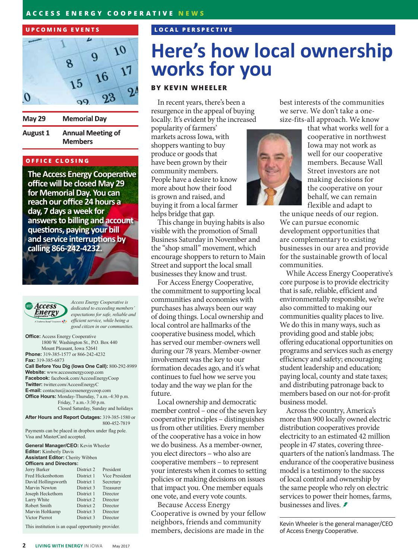#### **UPCOMING EVENTS**



**Memorial Day** 

**Annual Meeting of August 1 Members** 

### **OFFICE CLOSING**

**May 29** 

**The Access Energy Cooperative office will be closed May 29 for Memorial Day. You can reach our office 24 hours a day, 7 days a week for answers to billing and account questions, paying your bill and service interruptions by calling 866-242-4232.**



*Access Energy Cooperative is dedicated to exceeding members' expectations for safe, reliable and efficient service, while being a good citizen in our communities.*

**Office:** Access Energy Cooperative 1800 W. Washington St., P.O. Box 440 Mount Pleasant, Iowa 52641 **Phone:** 319-385-1577 or 866-242-4232 **Fax:** 319-385-6873 **Call Before You Dig (Iowa One Call):** 800-292-8989 **Website:** www.accessenergycoop.com **Facebook:** facebook.com/AccessEnergyCoop **Twitter:** twitter.com/AccessEnergyC **E-mail:** contactus@accessenergycoop.com **Office Hours:** Monday-Thursday, 7 a.m.-4:30 p.m. Friday, 7 a.m.-3:30 p.m. Closed Saturday, Sunday and holidays

**After Hours and Report Outages:** 319-385-1580 or 800-452-7819 Payments can be placed in dropbox under flag pole.

Visa and MasterCard accepted.

**General Manager/CEO:** Kevin Wheeler **Editor:** Kimberly Davis **Assistant Editor:** Cherity Wibben **Officers and Directors:**<br>Jerry Barker **District 2** Jerry Barker District 2 President Fred Hickenbottom District 1 Vice President David Hollingsworth District 1 Secretary Marvin Newton District 3 Treasure<br>Joseph Heckethorn District 1 Director Joseph Heckethorn Larry White District 2 Director Robert Smith District 2 Director Marvin Holtkamp District 3 Director Victor Pierrot District 3 Director

This institution is an equal opportunity provider.

### **LOCAL PERSPECTIVE**

# **Here's how local ownership works for you**

### **BY KEVIN WHEELER**

In recent years, there's been a resurgence in the appeal of buying locally. It's evident by the increased

popularity of farmers' markets across Iowa, with shoppers wanting to buy produce or goods that have been grown by their community members. People have a desire to know more about how their food is grown and raised, and buying it from a local farmer helps bridge that gap.

This change in buying habits is also visible with the promotion of Small Business Saturday in November and the "shop small" movement, which encourage shoppers to return to Main Street and support the local small businesses they know and trust.

For Access Energy Cooperative, the commitment to supporting local communities and economies with purchases has always been our way of doing things. Local ownership and local control are hallmarks of the cooperative business model, which has served our member-owners well during our 78 years. Member-owner involvement was the key to our formation decades ago, and it's what continues to fuel how we serve you today and the way we plan for the future.

Local ownership and democratic member control – one of the seven key cooperative principles – distinguishes us from other utilities. Every member of the cooperative has a voice in how we do business. As a member-owner, you elect directors – who also are cooperative members – to represent your interests when it comes to setting policies or making decisions on issues that impact you. One member equals one vote, and every vote counts.

Because Access Energy Cooperative is owned by your fellow neighbors, friends and community members, decisions are made in the

best interests of the communities we serve. We don't take a onesize-fits-all approach. We know



that what works well for a cooperative in northwest Iowa may not work as well for our cooperative members. Because Wall Street investors are not making decisions for the cooperative on your behalf, we can remain flexible and adapt to

the unique needs of our region. We can pursue economic development opportunities that are complementary to existing businesses in our area and provide for the sustainable growth of local communities.

While Access Energy Cooperative's core purpose is to provide electricity that is safe, reliable, efficient and environmentally responsible, we're also committed to making our communities quality places to live. We do this in many ways, such as providing good and stable jobs; offering educational opportunities on programs and services such as energy efficiency and safety; encouraging student leadership and education; paying local, county and state taxes; and distributing patronage back to members based on our not-for-profit business model.

Across the country, America's more than 900 locally owned electric distribution cooperatives provide electricity to an estimated 42 million people in 47 states, covering threequarters of the nation's landmass. The endurance of the cooperative business model is a testimony to the success of local control and ownership by the same people who rely on electric services to power their homes, farms, businesses and lives.

Kevin Wheeler is the general manager/CEO of Access Energy Cooperative.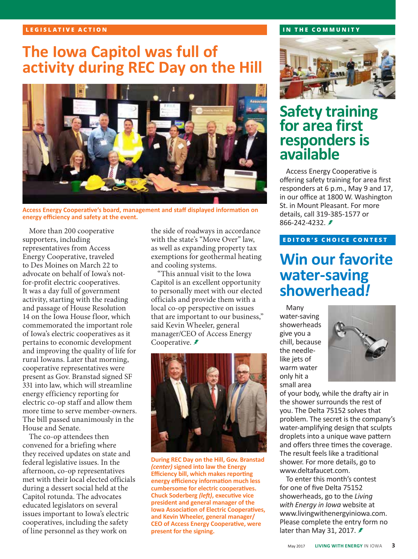### **LEGISLATIVE ACTION**

### **The Iowa Capitol was full of activity during REC Day on the Hill**



**Access Energy Cooperative's board, management and staff displayed information on energy efficiency and safety at the event.**

More than 200 cooperative supporters, including representatives from Access Energy Cooperative, traveled to Des Moines on March 22 to advocate on behalf of Iowa's notfor-profit electric cooperatives. It was a day full of government activity, starting with the reading and passage of House Resolution 14 on the Iowa House floor, which commemorated the important role of Iowa's electric cooperatives as it pertains to economic development and improving the quality of life for rural Iowans. Later that morning, cooperative representatives were present as Gov. Branstad signed SF 331 into law, which will streamline energy efficiency reporting for electric co-op staff and allow them more time to serve member-owners. The bill passed unanimously in the House and Senate.

The co-op attendees then convened for a briefing where they received updates on state and federal legislative issues. In the afternoon, co-op representatives met with their local elected officials during a dessert social held at the Capitol rotunda. The advocates educated legislators on several issues important to Iowa's electric cooperatives, including the safety of line personnel as they work on

the side of roadways in accordance with the state's "Move Over" law, as well as expanding property tax exemptions for geothermal heating and cooling systems.

"This annual visit to the Iowa Capitol is an excellent opportunity to personally meet with our elected officials and provide them with a local co-op perspective on issues that are important to our business," said Kevin Wheeler, general manager/CEO of Access Energy Cooperative. *₹* 



**During REC Day on the Hill, Gov. Branstad**  *(center)* **signed into law the Energy Efficiency bill, which makes reporting energy efficiency information much less cumbersome for electric cooperatives. Chuck Soderberg** *(left)***, executive vice president and general manager of the Iowa Association of Electric Cooperatives, and Kevin Wheeler, general manager/ CEO of Access Energy Cooperative, were present for the signing.**

#### **IN THE COMMUNITY**



### **Safety training for area first responders is available**

Access Energy Cooperative is offering safety training for area first responders at 6 p.m., May 9 and 17, in our office at 1800 W. Washington St. in Mount Pleasant. For more details, call 319-385-1577 or 866-242-4232. ≢

### **EDITOR'S CHOICE CONTEST**

### **Win our favorite water-saving showerhead***!*

Many water-saving showerheads give you a chill, because the needlelike jets of warm water only hit a small area



of your body, while the drafty air in the shower surrounds the rest of you. The Delta 75152 solves that problem. The secret is the company's water-amplifying design that sculpts droplets into a unique wave pattern and offers three times the coverage. The result feels like a traditional shower. For more details, go to www.deltafaucet.com.

To enter this month's contest for one of five Delta 75152 showerheads, go to the *Living with Energy in Iowa* website at www.livingwithenergyiniowa.com. Please complete the entry form no later than May 31, 2017. **≢**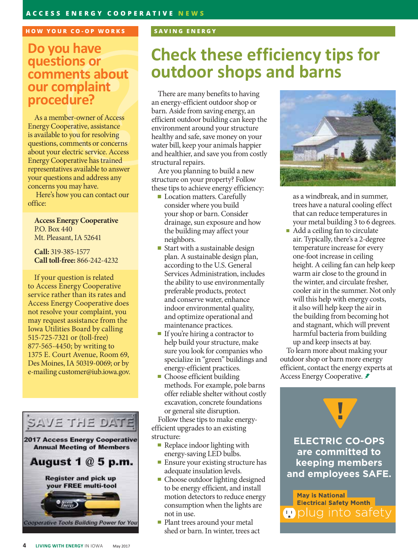### **HOW YOUR CO-OP WORKS SAVING ENERGY**

### **Do you have questions or comments about our complaint procedure?**

As a member-owner of Access Energy Cooperative, assistance is available to you for resolving questions, comments or concerns about your electric service. Access Energy Cooperative has trained representatives available to answer your questions and address any concerns you may have.

 Here's how you can contact our office:

**Access Energy Cooperative**  P.O. Box 440 Mt. Pleasant, IA 52641

**Call:** 319-385-1577 **Call toll-free:** 866-242-4232

If your question is related to Access Energy Cooperative service rather than its rates and Access Energy Cooperative does not resolve your complaint, you may request assistance from the Iowa Utilities Board by calling 515-725-7321 or (toll-free) 877-565-4450; by writing to 1375 E. Court Avenue, Room 69, Des Moines, IA 50319-0069; or by e-mailing customer@iub.iowa.gov.



# **Check these efficiency tips for outdoor shops and barns**

There are many benefits to having an energy-efficient outdoor shop or barn. Aside from saving energy, an efficient outdoor building can keep the environment around your structure healthy and safe, save money on your water bill, keep your animals happier and healthier, and save you from costly structural repairs.

Are you planning to build a new structure on your property? Follow these tips to achieve energy efficiency:

- **Location matters. Carefully** consider where you build your shop or barn. Consider drainage, sun exposure and how the building may affect your neighbors.
- Start with a sustainable design plan. A sustainable design plan, according to the U.S. General Services Administration, includes the ability to use environmentally preferable products, protect and conserve water, enhance indoor environmental quality, and optimize operational and maintenance practices.
- If you're hiring a contractor to help build your structure, make sure you look for companies who specialize in "green" buildings and energy-efficient practices.
- **Choose efficient building** methods. For example, pole barns offer reliable shelter without costly excavation, concrete foundations or general site disruption.

Follow these tips to make energyefficient upgrades to an existing structure:

- Replace indoor lighting with energy-saving LED bulbs.
- **Ensure your existing structure has** adequate insulation levels.
- Choose outdoor lighting designed to be energy efficient, and install motion detectors to reduce energy consumption when the lights are not in use.
- **Plant trees around your metal** shed or barn. In winter, trees act



as a windbreak, and in summer, trees have a natural cooling effect that can reduce temperatures in your metal building 3 to 6 degrees.

Add a ceiling fan to circulate air. Typically, there's a 2-degree temperature increase for every one-foot increase in ceiling height. A ceiling fan can help keep warm air close to the ground in the winter, and circulate fresher, cooler air in the summer. Not only will this help with energy costs, it also will help keep the air in the building from becoming hot and stagnant, which will prevent harmful bacteria from building up and keep insects at bay.

To learn more about making your outdoor shop or barn more energy efficient, contact the energy experts at Access Energy Cooperative.

**ELECTRIC CO-OPS are committed to keeping members and employees SAFE.** 

**May is National Electrical Safety Month**  $\blacksquare$  plug into safety